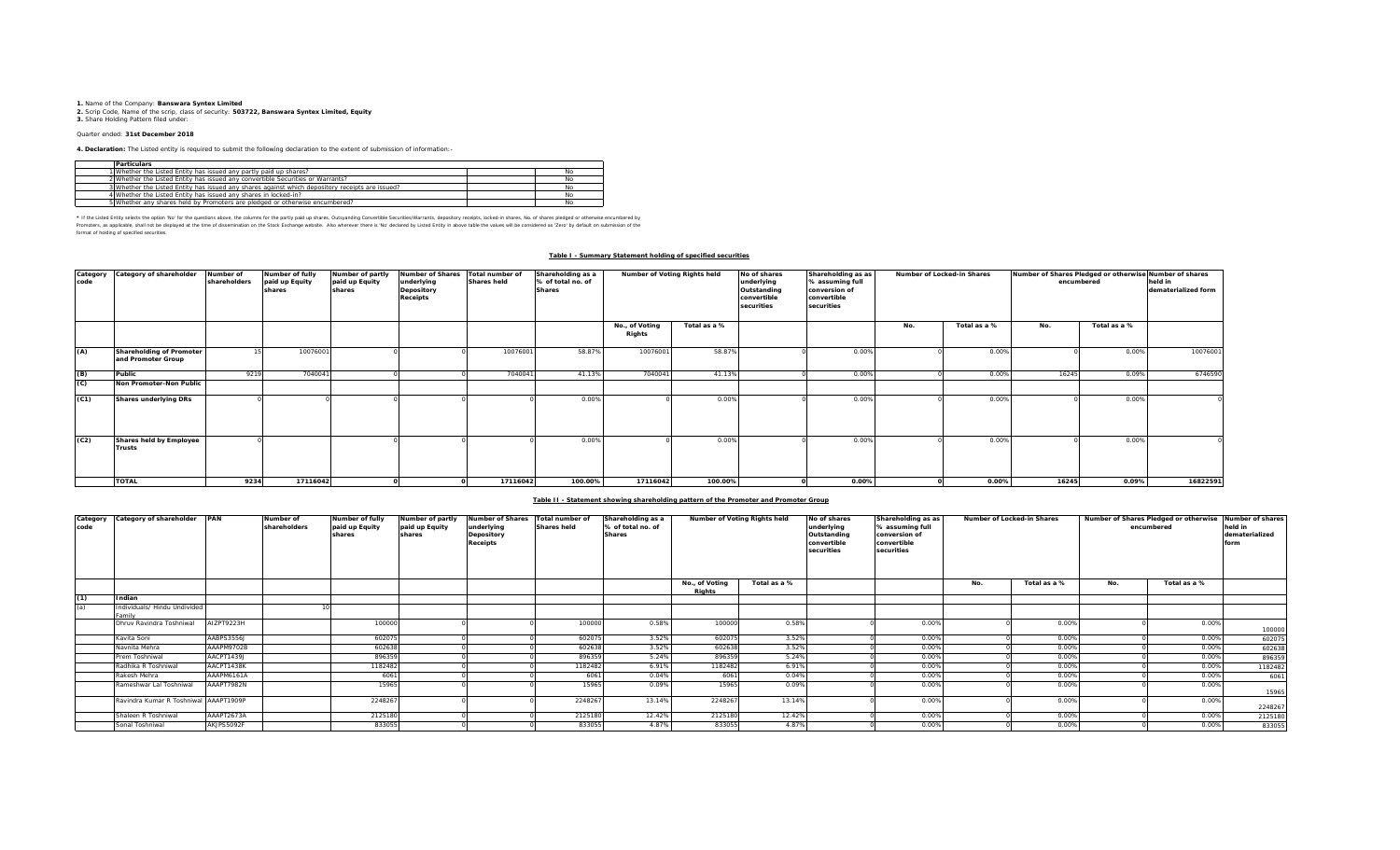**1.** Name of the Company: **Banswara Syntex Limited**<br>2. Scrip Code, Name of the scrip, class of security: **503722, Banswara Syntex Limited, Equity**<br>**3.** Share Holding Pattern filed under:

## Quarter ended: **31st December 2018**

**4. Declaration:** The Listed entity is required to submit the following declaration to the extent of submission of information:-

| <b>Particulars</b>                                                                              |    |  |
|-------------------------------------------------------------------------------------------------|----|--|
| 1 Whether the Listed Entity has issued any partly paid up shares?                               | No |  |
| 2 Whether the Listed Entity has issued any convertible Securities or Warrants?                  | No |  |
| 3 Whether the Listed Entity has issued any shares against which depository receipts are issued? | No |  |
| 4 Whether the Listed Entity has issued any shares in locked-in?                                 | No |  |
| 5 Whether any shares held by Promoters are pledged or otherwise encumbered?                     | No |  |

\* If ne Listed Ently selects ine opton War for the equasitons above, the outwars for the partly share, Quityandng Convertible Securities/Warrants, depository receipts, boked-in shares, No. of shares predget or otherwise in format of holding of specified securities.

#### **Table I - Summary Statement holding of specified securities**

| Category<br>code | Category of shareholder                        | Number of<br>shareholders | Number of fully<br>paid up Equity<br>shares | Number of partly<br>paid up Equity<br>shares | <b>Number of Shares</b><br>underlying<br>Depository<br><b>Receipts</b> | Total number of<br><b>Shares held</b> | Shareholding as a<br>% of total no. of<br><b>Shares</b> | Number of Voting Rights held |              | No of shares<br>underlying<br>Outstanding<br>convertible<br>securities | Shareholding as as<br>Number of Locked-in Shares<br>% assuming full<br>conversion of<br>convertible<br>securities |     |              | Number of Shares Pledged or otherwise Number of shares<br>encumbered | held in<br>dematerialized form |          |
|------------------|------------------------------------------------|---------------------------|---------------------------------------------|----------------------------------------------|------------------------------------------------------------------------|---------------------------------------|---------------------------------------------------------|------------------------------|--------------|------------------------------------------------------------------------|-------------------------------------------------------------------------------------------------------------------|-----|--------------|----------------------------------------------------------------------|--------------------------------|----------|
|                  |                                                |                           |                                             |                                              |                                                                        |                                       |                                                         | No., of Voting<br>Rights     | Total as a % |                                                                        |                                                                                                                   | No. | Total as a % | No.                                                                  | Total as a %                   |          |
| (A)              | Shareholding of Promoter<br>and Promoter Group |                           | 10076001                                    |                                              |                                                                        | 10076001                              | 58.87%                                                  | 10076001                     | 58.87%       |                                                                        | 0.00%                                                                                                             |     | 0.00%        |                                                                      | 0.00%                          | 10076001 |
| (B)              | Public                                         | 9219                      | 704004                                      |                                              |                                                                        | 7040041                               | 41.13%                                                  | 704004                       | 41.13%       |                                                                        | 0.00%                                                                                                             |     | 0.00%        | 16245                                                                | 0.09%                          | 6746590  |
| (C)              | Non Promoter-Non Public                        |                           |                                             |                                              |                                                                        |                                       |                                                         |                              |              |                                                                        |                                                                                                                   |     |              |                                                                      |                                |          |
| (C1)             | <b>Shares underlying DRs</b>                   |                           |                                             |                                              |                                                                        |                                       | 0.00%                                                   |                              | 0.00%        |                                                                        | 0.00%                                                                                                             |     | 0.00%        |                                                                      | 0.00%                          |          |
| (C2)             | Shares held by Employee<br><b>Trusts</b>       |                           |                                             |                                              |                                                                        |                                       | 0.00%                                                   |                              | 0.00%        |                                                                        | 0.00%                                                                                                             |     | 0.00%        |                                                                      | 0.00%                          |          |
|                  | <b>TOTAL</b>                                   | 9234                      | 17116042                                    |                                              |                                                                        | 17116042                              | 100.00%                                                 | 17116042                     | 100.00%      |                                                                        | 0.00%                                                                                                             |     | 0.00%        | 16245                                                                | 0.09%                          | 16822591 |

### **Table II - Statement showing shareholding pattern of the Promoter and Promoter Group**

| Category<br>code | Category of shareholder PAN            |            | Number of<br>shareholders | Number of fully<br>paid up Equity<br>shares | Number of partly<br>paid up Equity<br>shares | <b>Number of Shares</b><br>underlying<br>Depository<br><b>Receipts</b> | Total number of<br><b>Shares held</b> | Shareholding as a<br>% of total no. of<br><b>Shares</b> | Number of Voting Rights held |              | No of shares<br>underlying<br>Outstanding<br>convertible<br>securities | Shareholding as as<br>% assuming full<br>conversion of<br>convertible<br>securities |     | Number of Locked-in Shares |     | Number of Shares Pledged or otherwise<br>encumbered | Number of shares<br>held in<br>dematerialized<br>form |
|------------------|----------------------------------------|------------|---------------------------|---------------------------------------------|----------------------------------------------|------------------------------------------------------------------------|---------------------------------------|---------------------------------------------------------|------------------------------|--------------|------------------------------------------------------------------------|-------------------------------------------------------------------------------------|-----|----------------------------|-----|-----------------------------------------------------|-------------------------------------------------------|
|                  |                                        |            |                           |                                             |                                              |                                                                        |                                       |                                                         | No., of Voting<br>Riahts     | Total as a % |                                                                        |                                                                                     | No. | Total as a %               | No. | Total as a %                                        |                                                       |
| (1)              | Indian                                 |            |                           |                                             |                                              |                                                                        |                                       |                                                         |                              |              |                                                                        |                                                                                     |     |                            |     |                                                     |                                                       |
| (a)              | Individuals/ Hindu Undivided<br>Family |            |                           |                                             |                                              |                                                                        |                                       |                                                         |                              |              |                                                                        |                                                                                     |     |                            |     |                                                     |                                                       |
|                  | Dhruy Ravindra Toshniwal               | AIZPT9223H |                           | 100000                                      |                                              |                                                                        | 100000                                | 0.58%                                                   | 100000                       | 0.58%        |                                                                        | 0.00%                                                                               |     | 0.00%                      |     | 0.00%                                               | 100000                                                |
|                  | Kavita Soni                            | AABPS3556J |                           | 602075                                      |                                              |                                                                        | 60207                                 | 3.52%                                                   | 602075                       | 3.52%        |                                                                        | 0.00%                                                                               |     | 0.00%                      |     | 0.00%                                               | 602075                                                |
|                  | Navnita Mehra                          | AAAPM9702B |                           | 602638                                      |                                              |                                                                        | 60263                                 | 3.52%                                                   | 602638                       | 3.52%        |                                                                        | 0.00%                                                                               |     | 0.00%                      |     | 0.00%                                               | 602638                                                |
|                  | Prem Toshniwal                         | AACPT1439J |                           | 896359                                      |                                              |                                                                        | 896359                                | 5.24%                                                   | 896359                       | 5.24%        |                                                                        | 0.00%                                                                               |     | 0.00%                      |     | 0.00%                                               | 896359                                                |
|                  | Radhika R Toshniwal                    | AACPT1438K |                           | 1182482                                     |                                              |                                                                        | 1182482                               | 6.91%                                                   | 1182482                      | 6.91%        |                                                                        | 0.00%                                                                               |     | 0.00%                      |     | 0.00%                                               | 1182482                                               |
|                  | Rakesh Mehra                           | AAAPM6161A |                           | 6061                                        |                                              |                                                                        | 6061                                  | 0.04%                                                   | 6061                         | 0.04%        |                                                                        | 0.00%                                                                               |     | 0.00%                      |     | 0.00%                                               | 6061                                                  |
|                  | Rameshwar Lal Toshniwal                | AAAPT7982N |                           | 15965                                       |                                              |                                                                        | 15965                                 | 0.09%                                                   | 15965                        | 0.09%        |                                                                        | 0.00%                                                                               |     | 0.00%                      |     | 0.00%                                               | 15965                                                 |
|                  | Ravindra Kumar R Toshniwal AAAPT1909P  |            |                           | 2248267                                     |                                              |                                                                        | 224826                                | 13.14%                                                  | 2248267                      | 13.14%       |                                                                        | 0.00%                                                                               |     | 0.00%                      |     | 0.00%                                               | 2248267                                               |
|                  | Shaleen R Toshniwal                    | AAAPT2673A |                           | 2125180                                     |                                              |                                                                        | 2125180                               | 12.42%                                                  | 2125180                      | 12.42%       |                                                                        | 0.00%                                                                               |     | 0.00%                      |     | 0.00%                                               | 2125180                                               |
|                  | Sonal Toshniwal                        | AKJPS5092F |                           | 833055                                      |                                              |                                                                        | 833055                                | 4.87%                                                   | 833055                       | 4.87%        |                                                                        | 0.00%                                                                               |     | 0.00%                      |     | 0.00%                                               | 833055                                                |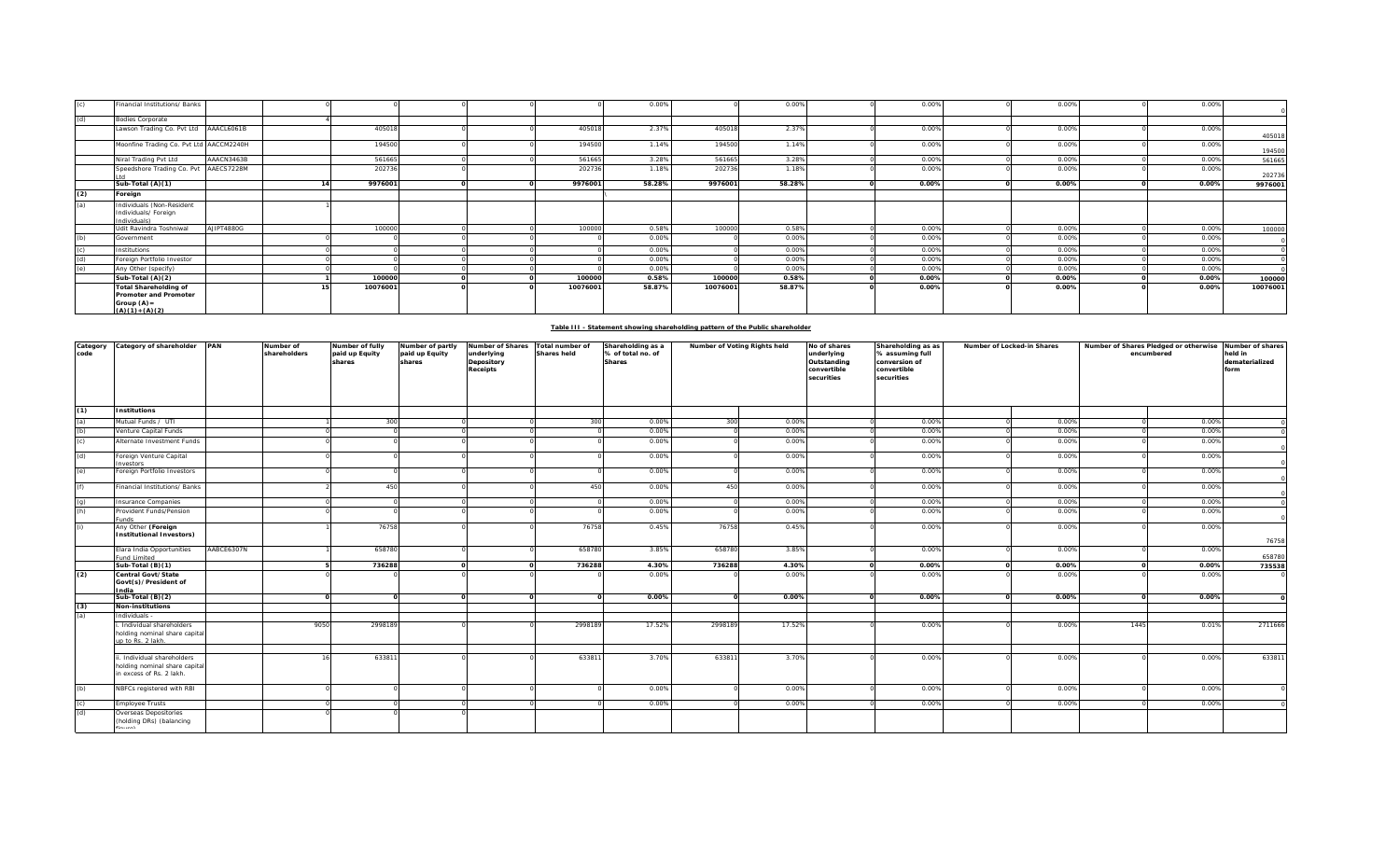|     | Financial Institutions/ Banks                                                                      |            |          |  |          | 0.00%  |          | 0.00%  | 0.00% | 0.00% | 0.00% |          |
|-----|----------------------------------------------------------------------------------------------------|------------|----------|--|----------|--------|----------|--------|-------|-------|-------|----------|
| (d) | <b>Bodies Corporate</b>                                                                            |            |          |  |          |        |          |        |       |       |       |          |
|     | Lawson Trading Co. Pvt Ltd AAACL6061B                                                              |            | 405018   |  | 405018   | 2.37%  | 405018   | 2.37%  | 0.00% | 0.00% | 0.00% | 405018   |
|     | Moonfine Trading Co. Pvt Ltd AACCM2240H                                                            |            | 194500   |  | 194500   | 1.14%  | 194500   | 1.14%  | 0.00% | 0.00% | 0.00% | 194500   |
|     | Niral Trading Pvt Ltd                                                                              | AAACN3463B | 561665   |  | 561665   | 3.28%  | 561665   | 3.28%  | 0.00% | 0.00% | 0.00% | 561665   |
|     | Speedshore Trading Co. Pvt AAECS7228M                                                              |            | 202736   |  | 202736   | 1.18%  | 202736   | 1.18%  | 0.00% | 0.00% | 0.00% | 202736   |
|     | Sub-Total (A)(1)                                                                                   |            | 9976001  |  | 9976001  | 58.28% | 9976001  | 58.28% | 0.00% | 0.00% | 0.00% | 9976001  |
| (2) | Foreign                                                                                            |            |          |  |          |        |          |        |       |       |       |          |
| (a) | Individuals (Non-Resident<br>Individuals/ Foreign<br>Individuals)                                  |            |          |  |          |        |          |        |       |       |       |          |
|     | Udit Ravindra Toshniwal                                                                            | AJIPT4880G | 100000   |  | 100000   | 0.58%  | 100000   | 0.58%  | 0.00% | 0.00% | 0.00% | 100000   |
| (b) | Government                                                                                         |            |          |  |          | 0.00%  |          | 0.00%  | 0.00% | 0.00% | 0.00% |          |
|     | Institutions                                                                                       |            |          |  |          | 0.00%  |          | 0.00%  | 0.00% | 0.00% | 0.00% |          |
| (d) | Foreign Portfolio Investor                                                                         |            |          |  |          | 0.00%  |          | 0.00%  | 0.00% | 0.00% | 0.00% |          |
| (e) | Any Other (specify)                                                                                |            |          |  |          | 0.00%  |          | 0.00%  | 0.00% | 0.00% | 0.00% |          |
|     | Sub-Total (A)(2)                                                                                   |            | 100000   |  | 100000   | 0.58%  | 100000   | 0.58%  | 0.00% | 0.00% | 0.00% | 100000   |
|     | <b>Total Shareholding of</b><br><b>Promoter and Promoter</b><br>Group $(A)$ =<br>$(A)(1) + (A)(2)$ |            | 10076001 |  | 10076001 | 58.87% | 10076001 | 58.87% | 0.00% | 0.00% | 0.00% | 10076001 |

|  | Table III - Statement showing shareholding pattern of the Public shareholder |  |
|--|------------------------------------------------------------------------------|--|
|  |                                                                              |  |

| Category<br>code | Category of shareholder PAN                                                             |            | Number of<br>shareholders | Number of fully<br>paid up Equity<br>shares | Number of partly<br>paid up Equity<br>shares | Number of Shares<br>underlying<br>Depository<br>Receipts | Total number of<br><b>Shares held</b> | Shareholding as a<br>% of total no. of<br><b>Shares</b> | Number of Voting Rights held |        | No of shares<br>underlying<br>Outstanding<br>convertible<br>securities | Shareholding as as<br>% assuming full<br>conversion of<br>convertible<br>securities | Number of Locked-in Shares | Number of Shares Pledged or otherwise Number of shares<br>encumbered |       | held in<br>dematerialized<br>form |
|------------------|-----------------------------------------------------------------------------------------|------------|---------------------------|---------------------------------------------|----------------------------------------------|----------------------------------------------------------|---------------------------------------|---------------------------------------------------------|------------------------------|--------|------------------------------------------------------------------------|-------------------------------------------------------------------------------------|----------------------------|----------------------------------------------------------------------|-------|-----------------------------------|
| (1)              | <b>Institutions</b>                                                                     |            |                           |                                             |                                              |                                                          |                                       |                                                         |                              |        |                                                                        |                                                                                     |                            |                                                                      |       |                                   |
| (a)              | Mutual Funds / UTI                                                                      |            |                           | 300                                         |                                              |                                                          | 300                                   | 0.00%                                                   | 300                          | 0.00%  |                                                                        | 0.00%                                                                               | 0.00%                      |                                                                      | 0.00% |                                   |
| (b)              | Venture Capital Funds                                                                   |            |                           |                                             |                                              |                                                          |                                       | 0.00%                                                   |                              | 0.00%  |                                                                        | 0.00%                                                                               | 0.00%                      |                                                                      | 0.00% |                                   |
| (c)              | Alternate Investment Funds                                                              |            |                           |                                             |                                              |                                                          |                                       | 0.00%                                                   |                              | 0.00%  |                                                                        | 0.00%                                                                               | 0.00%                      |                                                                      | 0.00% |                                   |
| (d)              | Foreign Venture Capital<br>nvestors                                                     |            |                           |                                             |                                              |                                                          |                                       | 0.00%                                                   |                              | 0.00%  |                                                                        | 0.00%                                                                               | 0.00%                      |                                                                      | 0.00% |                                   |
| (e)              | Foreign Portfolio Investors                                                             |            |                           |                                             |                                              |                                                          |                                       | 0.00%                                                   |                              | 0.00%  |                                                                        | 0.00%                                                                               | 0.00%                      |                                                                      | 0.00% |                                   |
| (f)              | Financial Institutions/ Banks                                                           |            |                           | 450                                         |                                              |                                                          | 450                                   | 0.00%                                                   | 450                          | 0.00%  |                                                                        | 0.00%                                                                               | 0.00%                      |                                                                      | 0.00% |                                   |
| (q)              | nsurance Companies                                                                      |            |                           |                                             |                                              |                                                          |                                       | 0.00%                                                   |                              | 0.00%  |                                                                        | 0.00%                                                                               | 0.00%                      |                                                                      | 0.00% |                                   |
| (h)              | Provident Funds/Pension<br>unds                                                         |            |                           |                                             |                                              |                                                          |                                       | 0.00%                                                   |                              | 0.00%  |                                                                        | 0.00%                                                                               | 0.00%                      |                                                                      | 0.00% |                                   |
| (i)              | Any Other (Foreign<br>nstitutional Investors)                                           |            |                           | 76758                                       |                                              |                                                          | 76758                                 | 0.45%                                                   | 76758                        | 0.45%  |                                                                        | 0.00%                                                                               | 0.00%                      |                                                                      | 0.00% | 76758                             |
|                  | Elara India Opportunities<br>und Limited                                                | AABCE6307N |                           | 658780                                      |                                              |                                                          | 658780                                | 3.85%                                                   | 658780                       | 3.85%  |                                                                        | 0.00%                                                                               | 0.00%                      |                                                                      | 0.00% | 658780                            |
|                  | Sub-Total (B)(1)                                                                        |            |                           | 736288                                      |                                              |                                                          | 736288                                | 4.30%                                                   | 736288                       | 4.30%  |                                                                        | 0.00%                                                                               | 0.00%                      |                                                                      | 0.00% | 735538                            |
| (2)              | Central Govt/State<br>Govt(s)/President of<br>India                                     |            |                           |                                             |                                              |                                                          |                                       | 0.00%                                                   |                              | 0.00%  |                                                                        | 0.00%                                                                               | 0.00%                      |                                                                      | 0.00% |                                   |
|                  | Sub-Total (B)(2)                                                                        |            |                           |                                             |                                              |                                                          | $\Omega$                              | 0.00%                                                   | $\Omega$                     | 0.00%  |                                                                        | 0.00%                                                                               | 0.00%                      |                                                                      | 0.00% |                                   |
| (3)              | <b>Non-institutions</b>                                                                 |            |                           |                                             |                                              |                                                          |                                       |                                                         |                              |        |                                                                        |                                                                                     |                            |                                                                      |       |                                   |
| (a)              | Individuals -                                                                           |            |                           |                                             |                                              |                                                          |                                       |                                                         |                              |        |                                                                        |                                                                                     |                            |                                                                      |       |                                   |
|                  | Individual shareholders<br>holding nominal share capital<br>up to Rs. 2 lakh.           |            | 9050                      | 2998189                                     |                                              |                                                          | 2998189                               | 17.52%                                                  | 2998189                      | 17.52% |                                                                        | 0.00%                                                                               | 0.00%                      | 1445                                                                 | 0.01% | 2711666                           |
|                  |                                                                                         |            |                           |                                             |                                              |                                                          |                                       |                                                         |                              |        |                                                                        |                                                                                     |                            |                                                                      |       |                                   |
|                  | i. Individual shareholders<br>holding nominal share capital<br>in excess of Rs. 2 lakh. |            | 16                        | 63381                                       |                                              |                                                          | 63381                                 | 3.70%                                                   | 633811                       | 3.70%  |                                                                        | 0.00%                                                                               | 0.00%                      |                                                                      | 0.00% | 633811                            |
| (b)              | NBFCs registered with RBI                                                               |            |                           |                                             |                                              |                                                          |                                       | 0.00%                                                   |                              | 0.00%  |                                                                        | 0.00%                                                                               | 0.00%                      |                                                                      | 0.00% |                                   |
| (c)              | <b>Employee Trusts</b>                                                                  |            |                           |                                             |                                              |                                                          |                                       | 0.00%                                                   |                              | 0.00%  |                                                                        | 0.00%                                                                               | 0.00%                      |                                                                      | 0.00% |                                   |
| (d)              | Overseas Depositories<br>(holding DRs) (balancing                                       |            |                           |                                             |                                              |                                                          |                                       |                                                         |                              |        |                                                                        |                                                                                     |                            |                                                                      |       |                                   |